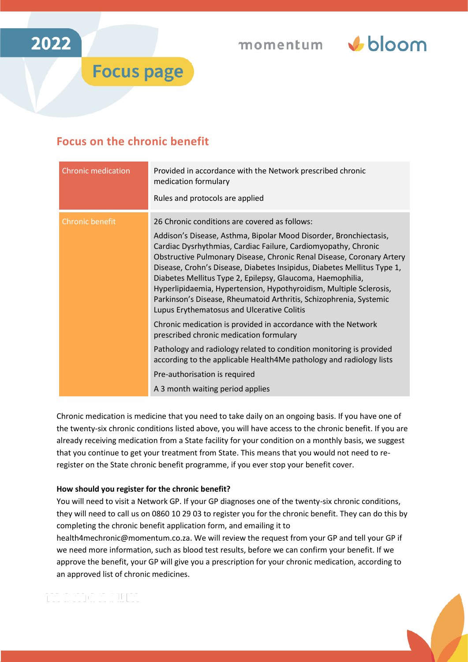



## **Focus on the chronic benefit**

**Focus page** 

| <b>Chronic medication</b> | Provided in accordance with the Network prescribed chronic<br>medication formulary<br>Rules and protocols are applied                                                                                                                                                                                                                                                                                                                                                                                                                                                                                                                                                                                                                                                                                                                                                                                                           |
|---------------------------|---------------------------------------------------------------------------------------------------------------------------------------------------------------------------------------------------------------------------------------------------------------------------------------------------------------------------------------------------------------------------------------------------------------------------------------------------------------------------------------------------------------------------------------------------------------------------------------------------------------------------------------------------------------------------------------------------------------------------------------------------------------------------------------------------------------------------------------------------------------------------------------------------------------------------------|
| <b>Chronic benefit</b>    | 26 Chronic conditions are covered as follows:<br>Addison's Disease, Asthma, Bipolar Mood Disorder, Bronchiectasis,<br>Cardiac Dysrhythmias, Cardiac Failure, Cardiomyopathy, Chronic<br>Obstructive Pulmonary Disease, Chronic Renal Disease, Coronary Artery<br>Disease, Crohn's Disease, Diabetes Insipidus, Diabetes Mellitus Type 1,<br>Diabetes Mellitus Type 2, Epilepsy, Glaucoma, Haemophilia,<br>Hyperlipidaemia, Hypertension, Hypothyroidism, Multiple Sclerosis,<br>Parkinson's Disease, Rheumatoid Arthritis, Schizophrenia, Systemic<br>Lupus Erythematosus and Ulcerative Colitis<br>Chronic medication is provided in accordance with the Network<br>prescribed chronic medication formulary<br>Pathology and radiology related to condition monitoring is provided<br>according to the applicable Health4Me pathology and radiology lists<br>Pre-authorisation is required<br>A 3 month waiting period applies |

Chronic medication is medicine that you need to take daily on an ongoing basis. If you have one of the twenty-six chronic conditions listed above, you will have access to the chronic benefit. If you are already receiving medication from a State facility for your condition on a monthly basis, we suggest that you continue to get your treatment from State. This means that you would not need to reregister on the State chronic benefit programme, if you ever stop your benefit cover.

## **How should you register for the chronic benefit?**

You will need to visit a Network GP. If your GP diagnoses one of the twenty-six chronic conditions, they will need to call us on 0860 10 29 03 to register you for the chronic benefit. They can do this by completing the chronic benefit application form, and emailing it to [health4mechronic@momentum.co.za.](mailto:health4mechronic@momentum.co.za) We will review the request from your GP and tell your GP if

we need more information, such as blood test results, before we can confirm your benefit. If we approve the benefit, your GP will give you a prescription for your chronic medication, according to an approved list of chronic medicines.